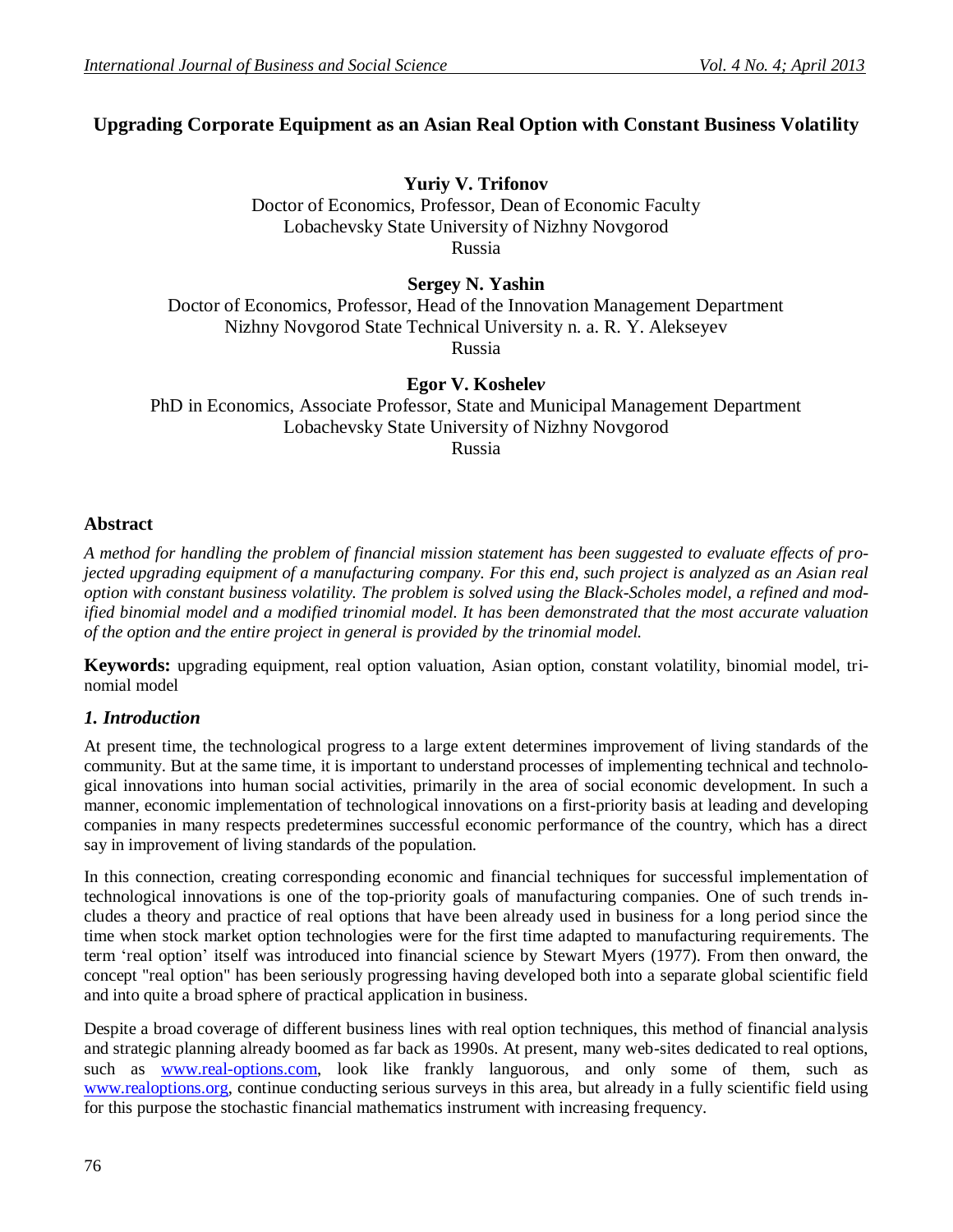# **Upgrading Corporate Equipment as an Asian Real Option with Constant Business Volatility**

## **Yuriy V. Trifonov**

Doctor of Economics, Professor, Dean of Economic Faculty Lobachevsky State University of Nizhny Novgorod Russia

**Sergey N. Yashin**

Doctor of Economics, Professor, Head of the Innovation Management Department Nizhny Novgorod State Technical University n. a. R. Y. Alekseyev Russia

**Egor V. Koshele***v*

PhD in Economics, Associate Professor, State and Municipal Management Department Lobachevsky State University of Nizhny Novgorod

Russia

## **Abstract**

*A method for handling the problem of financial mission statement has been suggested to evaluate effects of projected upgrading equipment of a manufacturing company. For this end, such project is analyzed as an Asian real option with constant business volatility. The problem is solved using the Black-Scholes model, a refined and modified binomial model and a modified trinomial model. It has been demonstrated that the most accurate valuation of the option and the entire project in general is provided by the trinomial model.*

**Keywords:** upgrading equipment, real option valuation, Asian option, constant volatility, binomial model, trinomial model

# *1. Introduction*

At present time, the technological progress to a large extent determines improvement of living standards of the community. But at the same time, it is important to understand processes of implementing technical and technological innovations into human social activities, primarily in the area of social economic development. In such a manner, economic implementation of technological innovations on a first-priority basis at leading and developing companies in many respects predetermines successful economic performance of the country, which has a direct say in improvement of living standards of the population.

In this connection, creating corresponding economic and financial techniques for successful implementation of technological innovations is one of the top-priority goals of manufacturing companies. One of such trends includes a theory and practice of real options that have been already used in business for a long period since the time when stock market option technologies were for the first time adapted to manufacturing requirements. The term 'real option' itself was introduced into financial science by Stewart Myers (1977). From then onward, the concept "real option" has been seriously progressing having developed both into a separate global scientific field and into quite a broad sphere of practical application in business.

Despite a broad coverage of different business lines with real option techniques, this method of financial analysis and strategic planning already boomed as far back as 1990s. At present, many web-sites dedicated to real options, such as [www.real-options.com,](http://www.real-options.com/) look like frankly languorous, and only some of them, such as [www.realoptions.org,](http://www.realoptions.org/) continue conducting serious surveys in this area, but already in a fully scientific field using for this purpose the stochastic financial mathematics instrument with increasing frequency.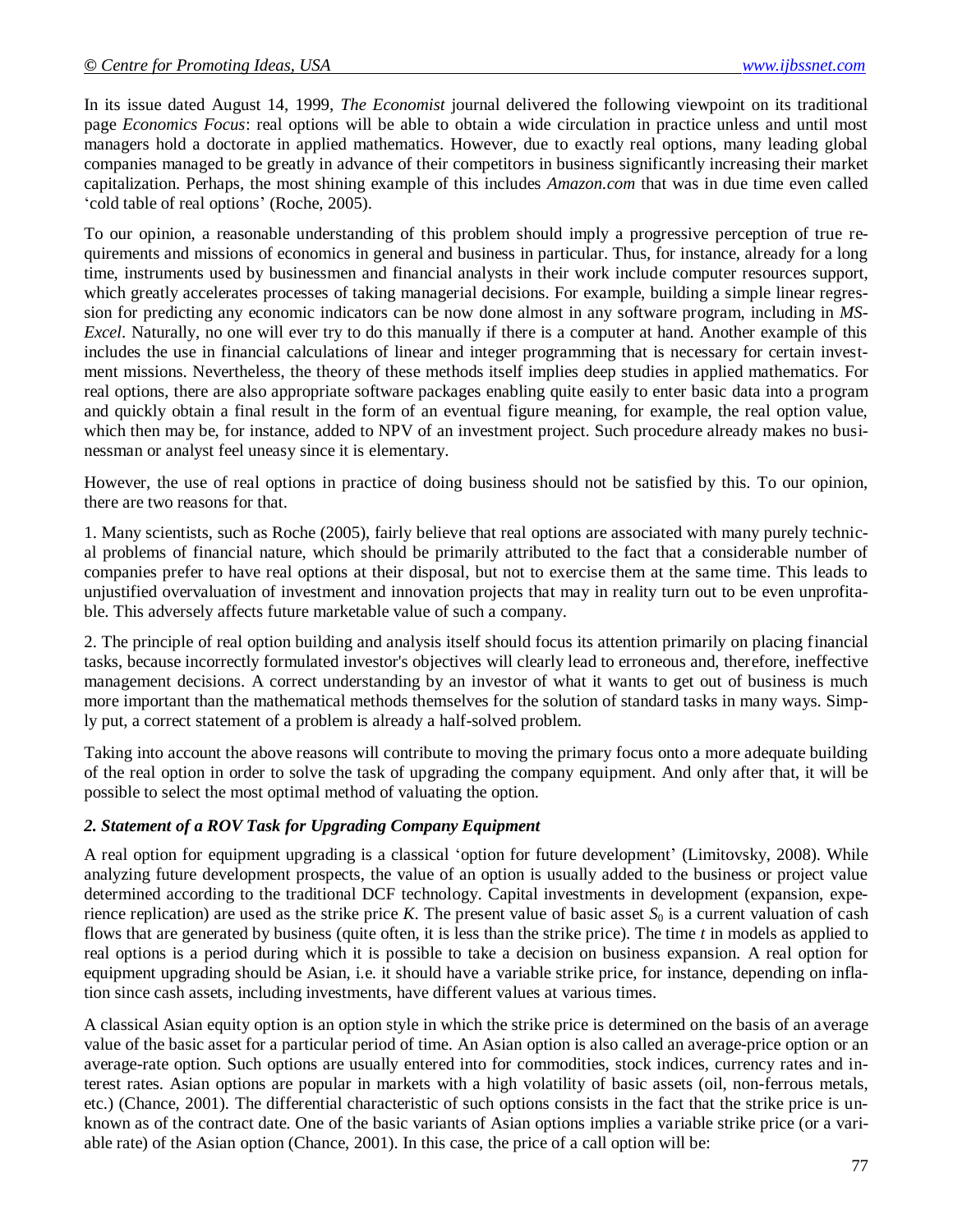In its issue dated August 14, 1999, *The Economist* journal delivered the following viewpoint on its traditional page *Economics Focus*: real options will be able to obtain a wide circulation in practice unless and until most managers hold a doctorate in applied mathematics. However, due to exactly real options, many leading global companies managed to be greatly in advance of their competitors in business significantly increasing their market capitalization. Perhaps, the most shining example of this includes *Amazon.com* that was in due time even called 'cold table of real options' (Roche, 2005).

To our opinion, a reasonable understanding of this problem should imply a progressive perception of true requirements and missions of economics in general and business in particular. Thus, for instance, already for a long time, instruments used by businessmen and financial analysts in their work include computer resources support, which greatly accelerates processes of taking managerial decisions. For example, building a simple linear regression for predicting any economic indicators can be now done almost in any software program, including in *MS-Excel*. Naturally, no one will ever try to do this manually if there is a computer at hand. Another example of this includes the use in financial calculations of linear and integer programming that is necessary for certain investment missions. Nevertheless, the theory of these methods itself implies deep studies in applied mathematics. For real options, there are also appropriate software packages enabling quite easily to enter basic data into a program and quickly obtain a final result in the form of an eventual figure meaning, for example, the real option value, which then may be, for instance, added to NPV of an investment project. Such procedure already makes no businessman or analyst feel uneasy since it is elementary.

However, the use of real options in practice of doing business should not be satisfied by this. To our opinion, there are two reasons for that.

1. Many scientists, such as Roche (2005), fairly believe that real options are associated with many purely technical problems of financial nature, which should be primarily attributed to the fact that a considerable number of companies prefer to have real options at their disposal, but not to exercise them at the same time. This leads to unjustified overvaluation of investment and innovation projects that may in reality turn out to be even unprofitable. This adversely affects future marketable value of such a company.

2. The principle of real option building and analysis itself should focus its attention primarily on placing financial tasks, because incorrectly formulated investor's objectives will clearly lead to erroneous and, therefore, ineffective management decisions. A correct understanding by an investor of what it wants to get out of business is much more important than the mathematical methods themselves for the solution of standard tasks in many ways. Simply put, a correct statement of a problem is already a half-solved problem.

Taking into account the above reasons will contribute to moving the primary focus onto a more adequate building of the real option in order to solve the task of upgrading the company equipment. And only after that, it will be possible to select the most optimal method of valuating the option.

#### *2. Statement of a ROV Task for Upgrading Company Equipment*

A real option for equipment upgrading is a classical 'option for future development' (Limitovsky, 2008). While analyzing future development prospects, the value of an option is usually added to the business or project value determined according to the traditional DCF technology. Capital investments in development (expansion, experience replication) are used as the strike price *K*. The present value of basic asset  $S_0$  is a current valuation of cash flows that are generated by business (quite often, it is less than the strike price). The time *t* in models as applied to real options is a period during which it is possible to take a decision on business expansion. A real option for equipment upgrading should be Asian, i.e. it should have a variable strike price, for instance, depending on inflation since cash assets, including investments, have different values at various times.

A classical Asian equity option is an option style in which the strike price is determined on the basis of an average value of the basic asset for a particular period of time. An Asian option is also called an average-price option or an average-rate option. Such options are usually entered into for commodities, stock indices, currency rates and interest rates. Asian options are popular in markets with a high volatility of basic assets (oil, non-ferrous metals, etc.) (Chance, 2001). The differential characteristic of such options consists in the fact that the strike price is unknown as of the contract date. One of the basic variants of Asian options implies a variable strike price (or a variable rate) of the Asian option (Chance, 2001). In this case, the price of a call option will be: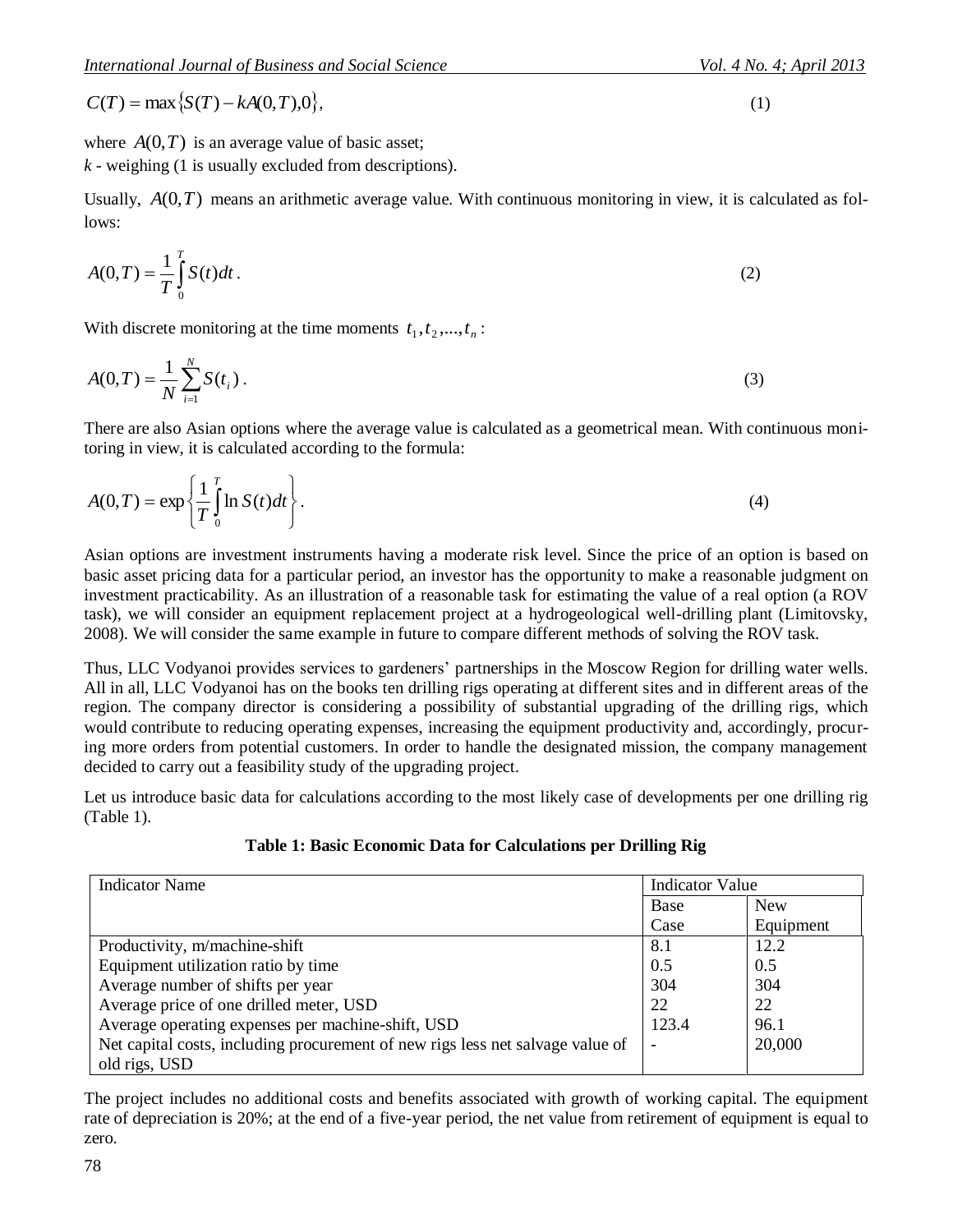$$
A(0,T) = \frac{1}{T} \int_{0}^{T} S(t)dt.
$$
 (2)

$$
A(0,T) = \frac{1}{N} \sum_{i=1}^{N} S(t_i).
$$
 (3)

$$
A(0,T) = \exp\left\{\frac{1}{T} \int_0^T \ln S(t)dt\right\}.
$$
\n(4)

**Table 1: Basic Economic Data for Calculations per Drilling Rig**

| $C(T) = \max \{ S(T) - kA(0,T), 0 \},\$                                                                                                                                                                                                                                                                                                                                                                                                                                                                                                                                                                                                                          |                        | (1)         |  |
|------------------------------------------------------------------------------------------------------------------------------------------------------------------------------------------------------------------------------------------------------------------------------------------------------------------------------------------------------------------------------------------------------------------------------------------------------------------------------------------------------------------------------------------------------------------------------------------------------------------------------------------------------------------|------------------------|-------------|--|
| where $A(0,T)$ is an average value of basic asset;<br>$k$ - weighing (1 is usually excluded from descriptions).                                                                                                                                                                                                                                                                                                                                                                                                                                                                                                                                                  |                        |             |  |
| Usually, $A(0,T)$ means an arithmetic average value. With continuous monitoring in view, it is calculated as fol<br>lows:                                                                                                                                                                                                                                                                                                                                                                                                                                                                                                                                        |                        |             |  |
| $A(0,T) = \frac{1}{T} \int_{0}^{T} S(t) dt$ .                                                                                                                                                                                                                                                                                                                                                                                                                                                                                                                                                                                                                    |                        | (2)         |  |
| With discrete monitoring at the time moments $t_1, t_2, , t_n$ :                                                                                                                                                                                                                                                                                                                                                                                                                                                                                                                                                                                                 |                        |             |  |
| $A(0,T) = \frac{1}{N} \sum_{i=1}^{N} S(t_i).$                                                                                                                                                                                                                                                                                                                                                                                                                                                                                                                                                                                                                    |                        | (3)         |  |
| There are also Asian options where the average value is calculated as a geometrical mean. With continuous moni<br>toring in view, it is calculated according to the formula:                                                                                                                                                                                                                                                                                                                                                                                                                                                                                     |                        |             |  |
| $A(0,T) = \exp\left\{\frac{1}{T}\int_{0}^{T} \ln S(t)dt\right\}.$                                                                                                                                                                                                                                                                                                                                                                                                                                                                                                                                                                                                |                        | (4)         |  |
| Asian options are investment instruments having a moderate risk level. Since the price of an option is based or<br>basic asset pricing data for a particular period, an investor has the opportunity to make a reasonable judgment or<br>investment practicability. As an illustration of a reasonable task for estimating the value of a real option (a ROV<br>task), we will consider an equipment replacement project at a hydrogeological well-drilling plant (Limitovsky<br>2008). We will consider the same example in future to compare different methods of solving the ROV task.                                                                        |                        |             |  |
| Thus, LLC Vodyanoi provides services to gardeners' partnerships in the Moscow Region for drilling water wells<br>All in all, LLC Vodyanoi has on the books ten drilling rigs operating at different sites and in different areas of the<br>region. The company director is considering a possibility of substantial upgrading of the drilling rigs, which<br>would contribute to reducing operating expenses, increasing the equipment productivity and, accordingly, procur<br>ing more orders from potential customers. In order to handle the designated mission, the company managemen<br>decided to carry out a feasibility study of the upgrading project. |                        |             |  |
| Let us introduce basic data for calculations according to the most likely case of developments per one drilling rig<br>(Table 1).                                                                                                                                                                                                                                                                                                                                                                                                                                                                                                                                |                        |             |  |
| Table 1: Basic Economic Data for Calculations per Drilling Rig                                                                                                                                                                                                                                                                                                                                                                                                                                                                                                                                                                                                   |                        |             |  |
| <b>Indicator Name</b>                                                                                                                                                                                                                                                                                                                                                                                                                                                                                                                                                                                                                                            | <b>Indicator Value</b> |             |  |
|                                                                                                                                                                                                                                                                                                                                                                                                                                                                                                                                                                                                                                                                  | Base                   | <b>New</b>  |  |
|                                                                                                                                                                                                                                                                                                                                                                                                                                                                                                                                                                                                                                                                  | Case                   | Equipment   |  |
| Productivity, m/machine-shift<br>Equipment utilization ratio by time                                                                                                                                                                                                                                                                                                                                                                                                                                                                                                                                                                                             | 8.1<br>0.5             | 12.2<br>0.5 |  |
| Average number of shifts per year                                                                                                                                                                                                                                                                                                                                                                                                                                                                                                                                                                                                                                | 304                    | 304         |  |
| Average price of one drilled meter, USD                                                                                                                                                                                                                                                                                                                                                                                                                                                                                                                                                                                                                          | 22                     | 22          |  |
| Average operating expenses per machine-shift, USD                                                                                                                                                                                                                                                                                                                                                                                                                                                                                                                                                                                                                | 123.4                  | 96.1        |  |
| Net capital costs, including procurement of new rigs less net salvage value of<br>old rigs, USD                                                                                                                                                                                                                                                                                                                                                                                                                                                                                                                                                                  |                        | 20,000      |  |
| The project includes no additional costs and benefits associated with growth of working capital. The equipmen<br>rate of depreciation is 20%; at the end of a five-year period, the net value from retirement of equipment is equal to<br>zero.<br>78                                                                                                                                                                                                                                                                                                                                                                                                            |                        |             |  |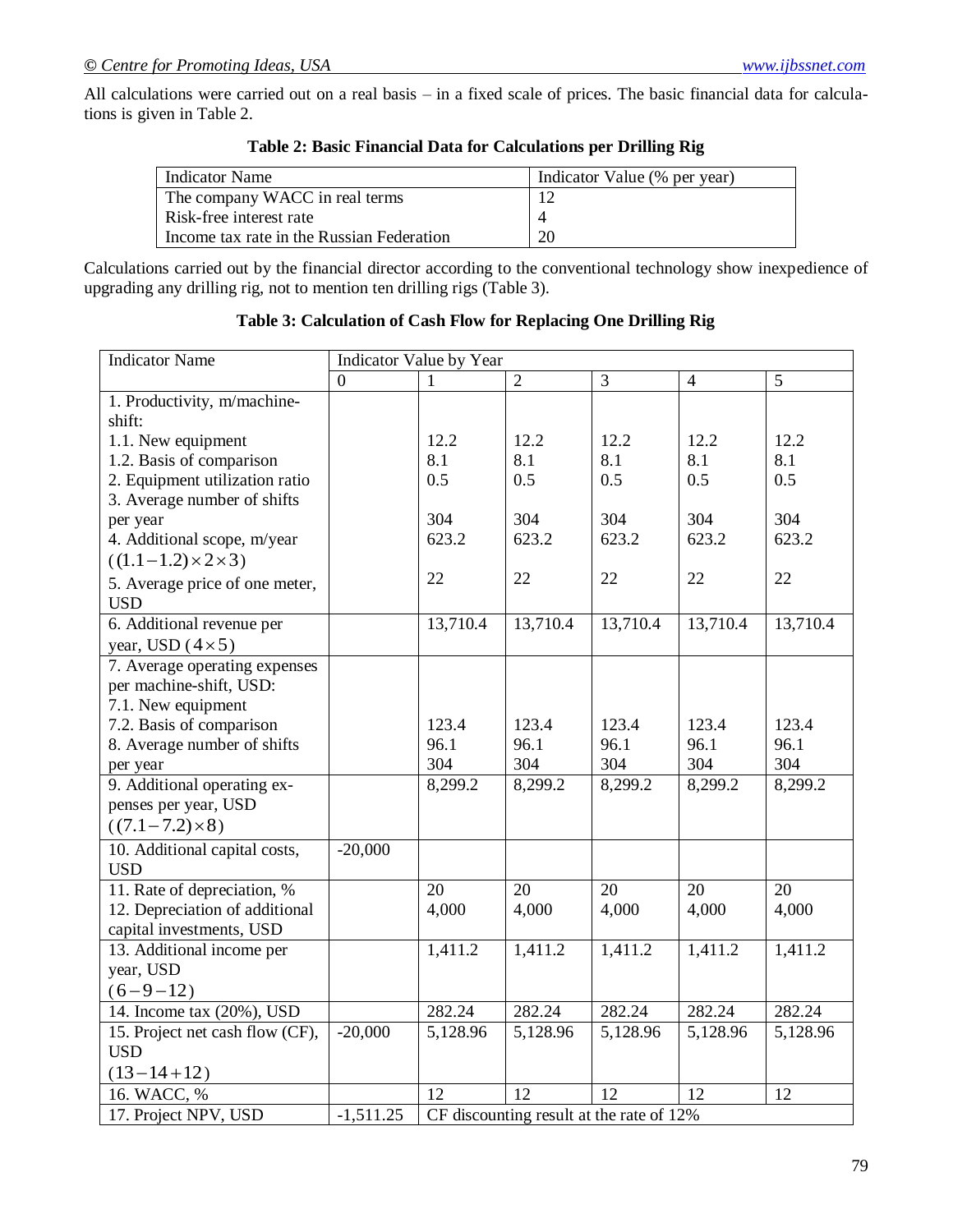All calculations were carried out on a real basis – in a fixed scale of prices. The basic financial data for calculations is given in Table 2.

| Indicator Name                            | Indicator Value (% per year) |
|-------------------------------------------|------------------------------|
| The company WACC in real terms            |                              |
| Risk-free interest rate                   |                              |
| Income tax rate in the Russian Federation | 20                           |

#### **Table 2: Basic Financial Data for Calculations per Drilling Rig**

Calculations carried out by the financial director according to the conventional technology show inexpedience of upgrading any drilling rig, not to mention ten drilling rigs (Table 3).

#### **Table 3: Calculation of Cash Flow for Replacing One Drilling Rig**

| <b>Indicator Name</b>           |                | Indicator Value by Year                  |                |          |                |          |
|---------------------------------|----------------|------------------------------------------|----------------|----------|----------------|----------|
|                                 | $\overline{0}$ |                                          | $\overline{2}$ | 3        | $\overline{4}$ | 5        |
| 1. Productivity, m/machine-     |                |                                          |                |          |                |          |
| shift:                          |                |                                          |                |          |                |          |
| 1.1. New equipment              |                | 12.2                                     | 12.2           | 12.2     | 12.2           | 12.2     |
| 1.2. Basis of comparison        |                | 8.1                                      | 8.1            | 8.1      | 8.1            | 8.1      |
| 2. Equipment utilization ratio  |                | 0.5                                      | 0.5            | 0.5      | 0.5            | 0.5      |
| 3. Average number of shifts     |                |                                          |                |          |                |          |
| per year                        |                | 304                                      | 304            | 304      | 304            | 304      |
| 4. Additional scope, m/year     |                | 623.2                                    | 623.2          | 623.2    | 623.2          | 623.2    |
| $((1.1-1.2)\times2\times3)$     |                |                                          |                |          |                |          |
| 5. Average price of one meter,  |                | 22                                       | 22             | 22       | 22             | 22       |
| <b>USD</b>                      |                |                                          |                |          |                |          |
| 6. Additional revenue per       |                | 13,710.4                                 | 13,710.4       | 13,710.4 | 13,710.4       | 13,710.4 |
| year, USD $(4 \times 5)$        |                |                                          |                |          |                |          |
| 7. Average operating expenses   |                |                                          |                |          |                |          |
| per machine-shift, USD:         |                |                                          |                |          |                |          |
| 7.1. New equipment              |                |                                          |                |          |                |          |
| 7.2. Basis of comparison        |                | 123.4                                    | 123.4          | 123.4    | 123.4          | 123.4    |
| 8. Average number of shifts     |                | 96.1                                     | 96.1           | 96.1     | 96.1           | 96.1     |
| per year                        |                | 304                                      | 304            | 304      | 304            | 304      |
| 9. Additional operating ex-     |                | 8,299.2                                  | 8,299.2        | 8,299.2  | 8,299.2        | 8,299.2  |
| penses per year, USD            |                |                                          |                |          |                |          |
| $((7.1 - 7.2) \times 8)$        |                |                                          |                |          |                |          |
| 10. Additional capital costs,   | $-20,000$      |                                          |                |          |                |          |
| <b>USD</b>                      |                |                                          |                |          |                |          |
| 11. Rate of depreciation, %     |                | 20                                       | 20             | 20       | 20             | 20       |
| 12. Depreciation of additional  |                | 4,000                                    | 4,000          | 4,000    | 4,000          | 4,000    |
| capital investments, USD        |                |                                          |                |          |                |          |
| 13. Additional income per       |                | 1,411.2                                  | 1,411.2        | 1,411.2  | 1,411.2        | 1,411.2  |
| year, USD                       |                |                                          |                |          |                |          |
| $(6 - 9 - 12)$                  |                |                                          |                |          |                |          |
| 14. Income tax (20%), USD       |                | 282.24                                   | 282.24         | 282.24   | 282.24         | 282.24   |
| 15. Project net cash flow (CF), | $-20,000$      | 5,128.96                                 | 5,128.96       | 5,128.96 | 5,128.96       | 5,128.96 |
| <b>USD</b>                      |                |                                          |                |          |                |          |
| $(13-14+12)$                    |                |                                          |                |          |                |          |
| 16. WACC, %                     |                | 12                                       | 12             | 12       | 12             | 12       |
| 17. Project NPV, USD            | $-1,511.25$    | CF discounting result at the rate of 12% |                |          |                |          |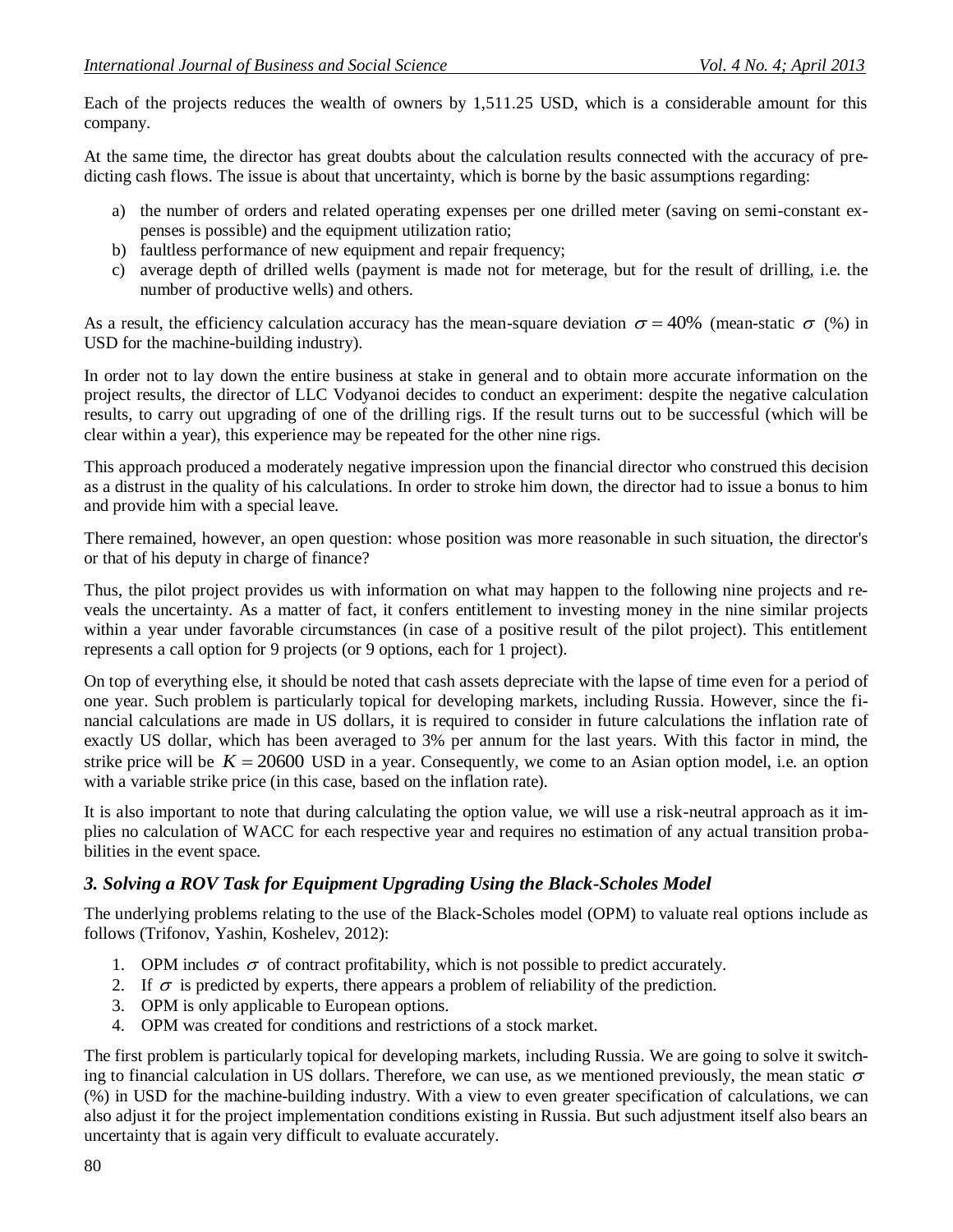Each of the projects reduces the wealth of owners by 1,511.25 USD, which is a considerable amount for this company.

At the same time, the director has great doubts about the calculation results connected with the accuracy of predicting cash flows. The issue is about that uncertainty, which is borne by the basic assumptions regarding:

- a) the number of orders and related operating expenses per one drilled meter (saving on semi-constant expenses is possible) and the equipment utilization ratio;
- b) faultless performance of new equipment and repair frequency;
- c) average depth of drilled wells (payment is made not for meterage, but for the result of drilling, i.e. the number of productive wells) and others.

As a result, the efficiency calculation accuracy has the mean-square deviation  $\sigma = 40\%$  (mean-static  $\sigma$  (%) in USD for the machine-building industry).

In order not to lay down the entire business at stake in general and to obtain more accurate information on the project results, the director of LLC Vodyanoi decides to conduct an experiment: despite the negative calculation results, to carry out upgrading of one of the drilling rigs. If the result turns out to be successful (which will be clear within a year), this experience may be repeated for the other nine rigs.

This approach produced a moderately negative impression upon the financial director who construed this decision as a distrust in the quality of his calculations. In order to stroke him down, the director had to issue a bonus to him and provide him with a special leave.

There remained, however, an open question: whose position was more reasonable in such situation, the director's or that of his deputy in charge of finance?

Thus, the pilot project provides us with information on what may happen to the following nine projects and reveals the uncertainty. As a matter of fact, it confers entitlement to investing money in the nine similar projects within a year under favorable circumstances (in case of a positive result of the pilot project). This entitlement represents a call option for 9 projects (or 9 options, each for 1 project).

On top of everything else, it should be noted that cash assets depreciate with the lapse of time even for a period of one year. Such problem is particularly topical for developing markets, including Russia. However, since the financial calculations are made in US dollars, it is required to consider in future calculations the inflation rate of exactly US dollar, which has been averaged to 3% per annum for the last years. With this factor in mind, the strike price will be  $K = 20600$  USD in a year. Consequently, we come to an Asian option model, i.e. an option with a variable strike price (in this case, based on the inflation rate).

It is also important to note that during calculating the option value, we will use a risk-neutral approach as it implies no calculation of WACC for each respective year and requires no estimation of any actual transition probabilities in the event space.

### *3. Solving a ROV Task for Equipment Upgrading Using the Black-Scholes Model*

The underlying problems relating to the use of the Black-Scholes model (OPM) to valuate real options include as follows (Trifonov, Yashin, Koshelev, 2012):

- 1. OPM includes  $\sigma$  of contract profitability, which is not possible to predict accurately.
- 2. If  $\sigma$  is predicted by experts, there appears a problem of reliability of the prediction.
- 3. OPM is only applicable to European options.
- 4. OPM was created for conditions and restrictions of a stock market.

The first problem is particularly topical for developing markets, including Russia. We are going to solve it switching to financial calculation in US dollars. Therefore, we can use, as we mentioned previously, the mean static  $\sigma$ (%) in USD for the machine-building industry. With a view to even greater specification of calculations, we can also adjust it for the project implementation conditions existing in Russia. But such adjustment itself also bears an uncertainty that is again very difficult to evaluate accurately.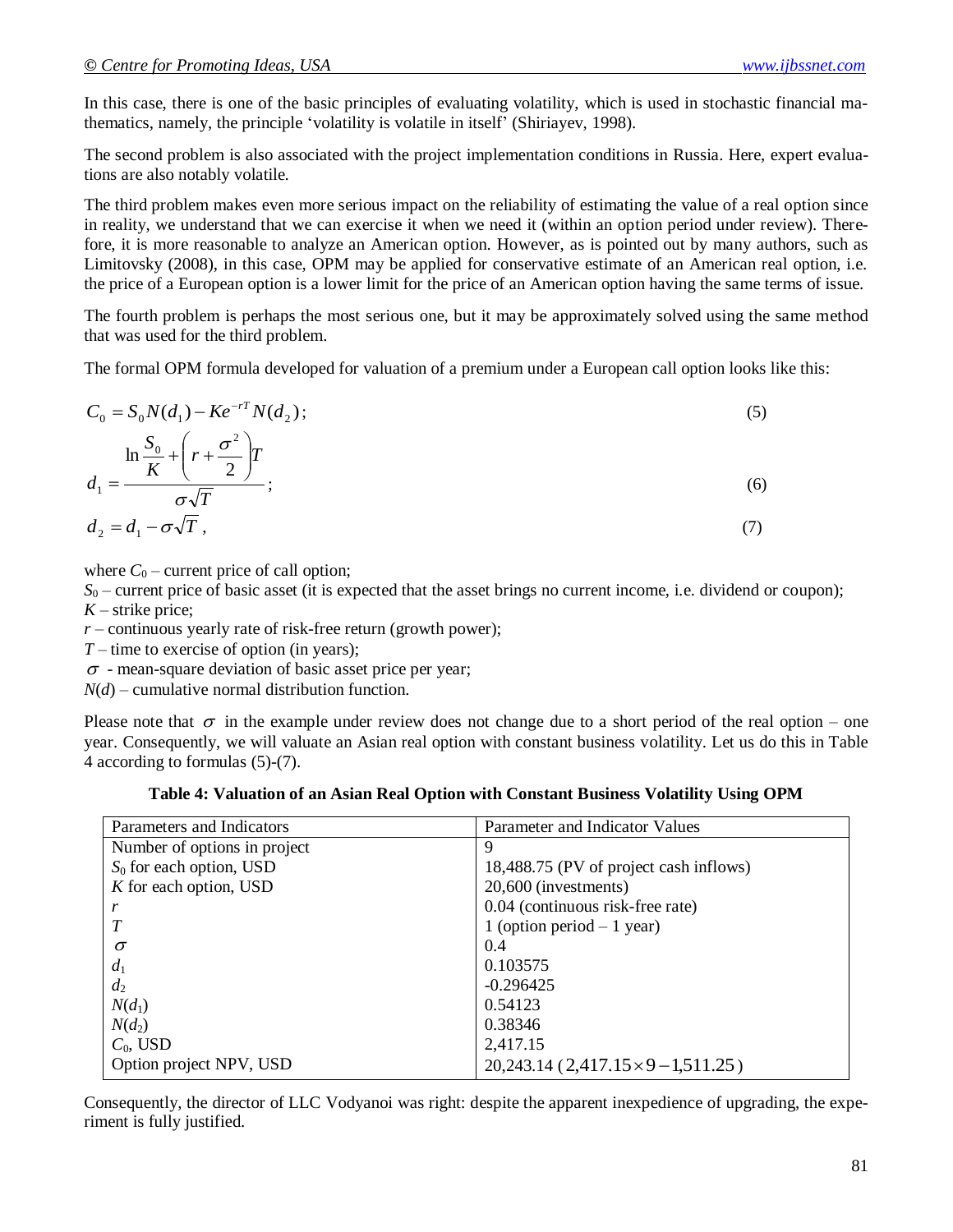In this case, there is one of the basic principles of evaluating volatility, which is used in stochastic financial mathematics, namely, the principle 'volatility is volatile in itself' (Shiriayev, 1998).

The second problem is also associated with the project implementation conditions in Russia. Here, expert evaluations are also notably volatile.

The third problem makes even more serious impact on the reliability of estimating the value of a real option since in reality, we understand that we can exercise it when we need it (within an option period under review). Therefore, it is more reasonable to analyze an American option. However, as is pointed out by many authors, such as Limitovsky (2008), in this case, OPM may be applied for conservative estimate of an American real option, i.e. the price of a European option is a lower limit for the price of an American option having the same terms of issue.

The fourth problem is perhaps the most serious one, but it may be approximately solved using the same method that was used for the third problem.

The formal OPM formula developed for valuation of a premium under a European call option looks like this:

$$
C_0 = S_0 N(d_1) - Ke^{-rT} N(d_2);
$$
  
\n
$$
\ln \frac{S_0}{K} + \left(r + \frac{\sigma^2}{2}\right) T
$$
  
\n
$$
d_1 = \frac{\sigma \sqrt{T}}{\sigma \sqrt{T}};
$$
  
\n(6)  
\n
$$
d_2 = d_1 - \sigma \sqrt{T},
$$
  
\n(7)

where  $C_0$  – current price of call option;

*S*<sup>0</sup> – current price of basic asset (it is expected that the asset brings no current income, i.e. dividend or coupon);  $K$  – strike price;

 $r$  – continuous yearly rate of risk-free return (growth power);

*T* – time to exercise of option (in years);

 $\sigma$  - mean-square deviation of basic asset price per year;

*N*(*d*) – cumulative normal distribution function.

Please note that  $\sigma$  in the example under review does not change due to a short period of the real option – one year. Consequently, we will valuate an Asian real option with constant business volatility. Let us do this in Table 4 according to formulas (5)-(7).

**Table 4: Valuation of an Asian Real Option with Constant Business Volatility Using OPM**

| Parameters and Indicators    | Parameter and Indicator Values               |
|------------------------------|----------------------------------------------|
| Number of options in project | 9                                            |
| $S_0$ for each option, USD   | 18,488.75 (PV of project cash inflows)       |
| $K$ for each option, USD     | 20,600 (investments)                         |
|                              | 0.04 (continuous risk-free rate)             |
|                              | 1 (option period $-1$ year)                  |
| $\sigma$                     | 0.4                                          |
| $d_1$                        | 0.103575                                     |
| $d_2$                        | $-0.296425$                                  |
| $N(d_1)$                     | 0.54123                                      |
| $N(d_2)$                     | 0.38346                                      |
| $C_0$ , USD                  | 2,417.15                                     |
| Option project NPV, USD      | $20,243.14$ (2,417.15 $\times$ 9 – 1,511.25) |

Consequently, the director of LLC Vodyanoi was right: despite the apparent inexpedience of upgrading, the experiment is fully justified.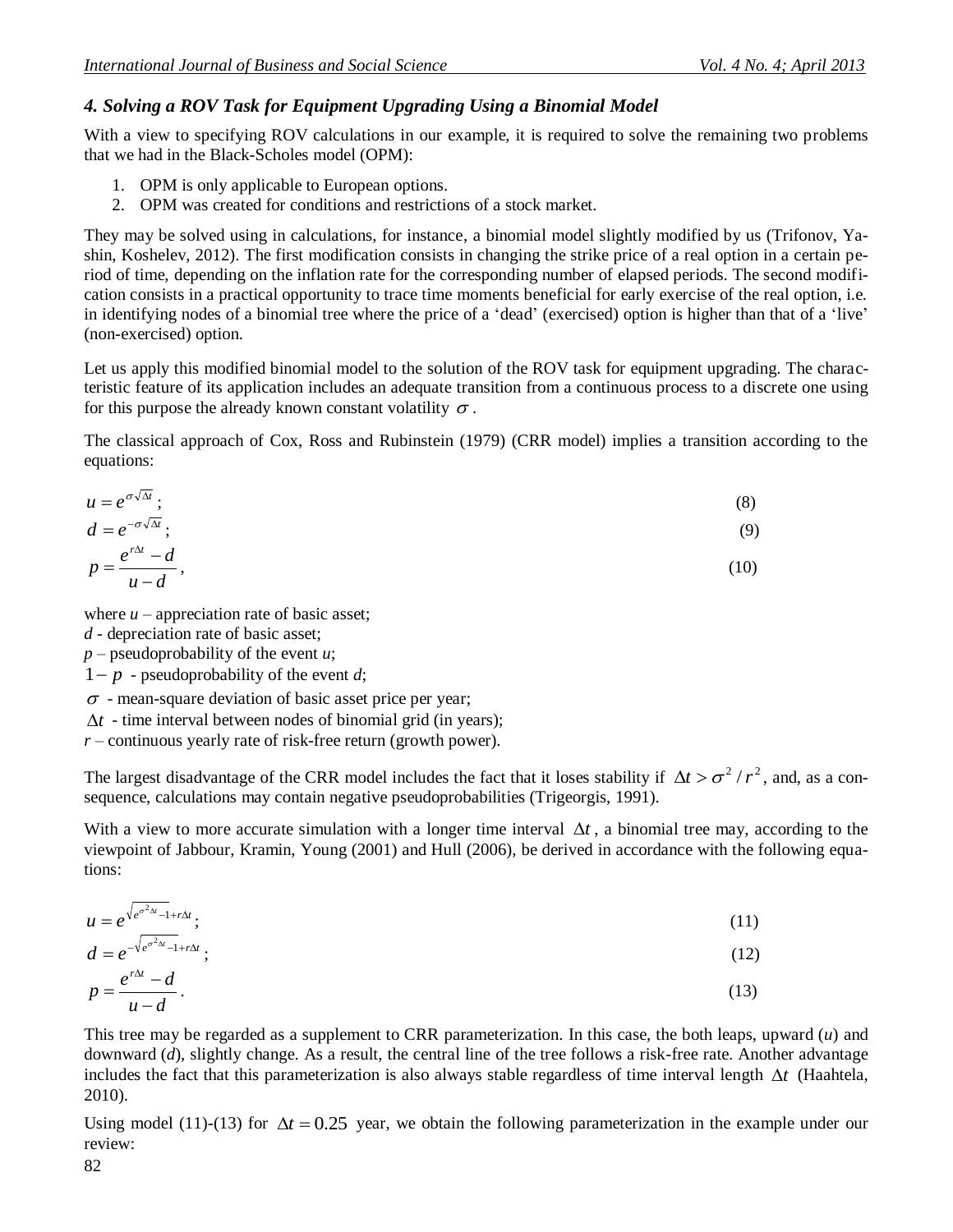## *4. Solving a ROV Task for Equipment Upgrading Using a Binomial Model*

With a view to specifying ROV calculations in our example, it is required to solve the remaining two problems that we had in the Black-Scholes model (OPM):

- 1. OPM is only applicable to European options.
- 2. OPM was created for conditions and restrictions of a stock market.

They may be solved using in calculations, for instance, a binomial model slightly modified by us (Trifonov, Yashin, Koshelev, 2012). The first modification consists in changing the strike price of a real option in a certain period of time, depending on the inflation rate for the corresponding number of elapsed periods. The second modification consists in a practical opportunity to trace time moments beneficial for early exercise of the real option, i.e. in identifying nodes of a binomial tree where the price of a 'dead' (exercised) option is higher than that of a 'live' (non-exercised) option.

Let us apply this modified binomial model to the solution of the ROV task for equipment upgrading. The characteristic feature of its application includes an adequate transition from a continuous process to a discrete one using for this purpose the already known constant volatility  $\sigma$ .

The classical approach of Cox, Ross and Rubinstein (1979) (CRR model) implies a transition according to the equations:

$$
u = e^{\sigma \sqrt{\Delta t}} \tag{8}
$$

$$
d = e^{-\sigma \sqrt{\Delta t}}; \tag{9}
$$
  

$$
e^{r\Delta t} - d \tag{10}
$$

$$
p = \frac{e}{u - d},\tag{10}
$$

where  $u$  – appreciation rate of basic asset;

*d* - depreciation rate of basic asset;

 $p$  – pseudoprobability of the event *u*;

 $1-p$  - pseudoprobability of the event *d*;

 $\sigma$  - mean-square deviation of basic asset price per year;

 $\Delta t$  - time interval between nodes of binomial grid (in years);

*r* – continuous yearly rate of risk-free return (growth power).

The largest disadvantage of the CRR model includes the fact that it loses stability if  $\Delta t > \sigma^2/r^2$ , and, as a consequence, calculations may contain negative pseudoprobabilities (Trigeorgis, 1991).

With a view to more accurate simulation with a longer time interval  $\Delta t$ , a binomial tree may, according to the viewpoint of Jabbour, Kramin, Young (2001) and Hull (2006), be derived in accordance with the following equations:

$$
u = e^{\sqrt{e^{\sigma^2 \Delta t} - 1} + r \Delta t};
$$
\n(11)

$$
d = e^{-\sqrt{e^{\sigma^2 \Delta t} - 1} + r\Delta t};
$$
\n(12)

$$
p = \frac{e^{r\Delta t} - d}{u - d}.
$$
\n(13)

This tree may be regarded as a supplement to CRR parameterization. In this case, the both leaps, upward (*u*) and downward (*d*), slightly change. As a result, the central line of the tree follows a risk-free rate. Another advantage includes the fact that this parameterization is also always stable regardless of time interval length  $\Delta t$  (Haahtela, 2010).

Using model (11)-(13) for  $\Delta t = 0.25$  year, we obtain the following parameterization in the example under our review: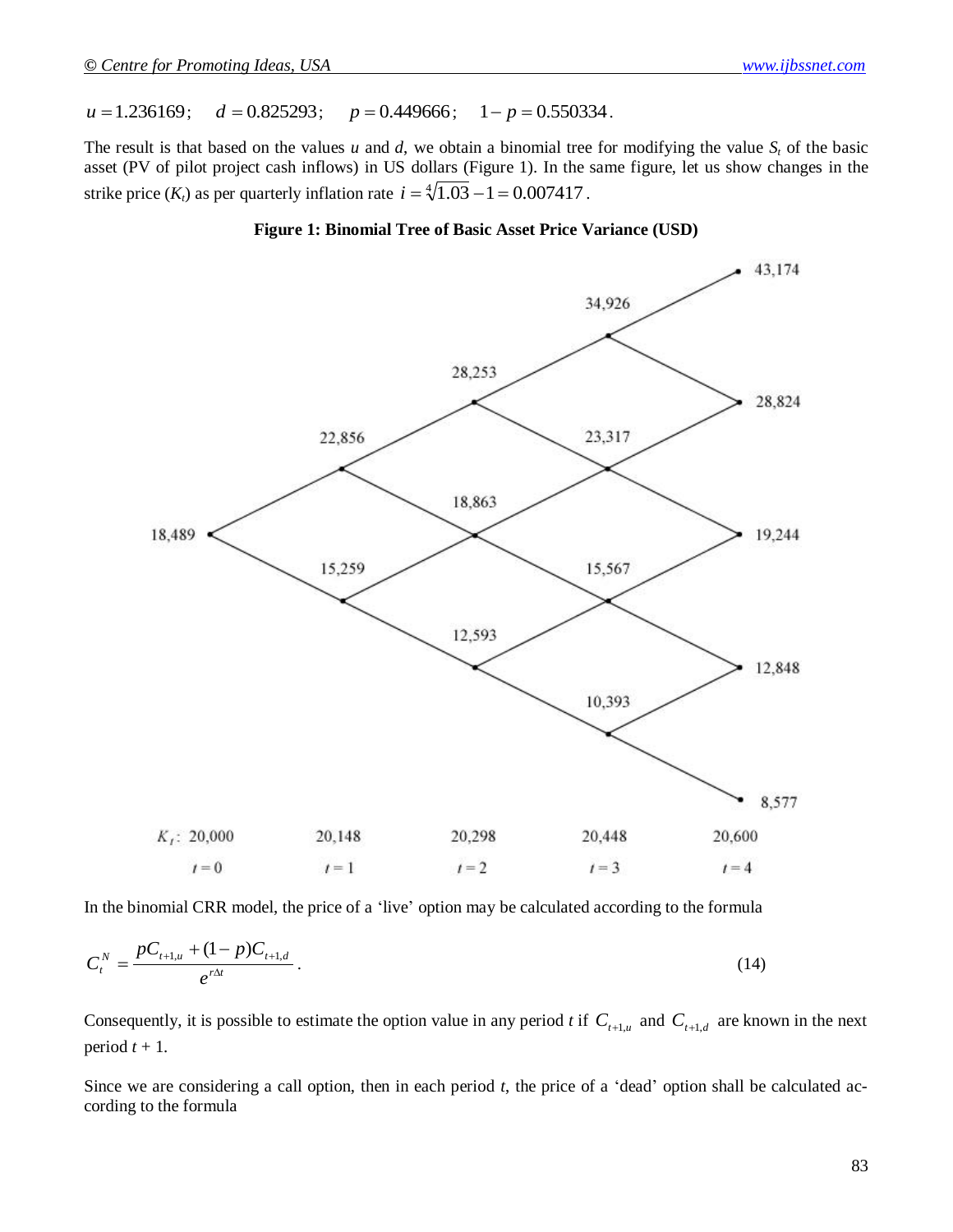$u = 1.236169$ ;  $d = 0.825293;$   $p = 0.449666;$   $1 - p = 0.550334.$ 

The result is that based on the values  $u$  and  $d$ , we obtain a binomial tree for modifying the value  $S_t$  of the basic asset (PV of pilot project cash inflows) in US dollars (Figure 1). In the same figure, let us show changes in the strike price  $(K_t)$  as per quarterly inflation rate  $i = \sqrt[4]{1.03} - 1 = 0.007417$ .





In the binomial CRR model, the price of a 'live' option may be calculated according to the formula

$$
C_t^N = \frac{pC_{t+1,u} + (1-p)C_{t+1,d}}{e^{r\Delta t}}.
$$
\n(14)

Consequently, it is possible to estimate the option value in any period *t* if  $C_{t+1,u}$  and  $C_{t+1,d}$  are known in the next period  $t + 1$ .

Since we are considering a call option, then in each period *t*, the price of a 'dead' option shall be calculated according to the formula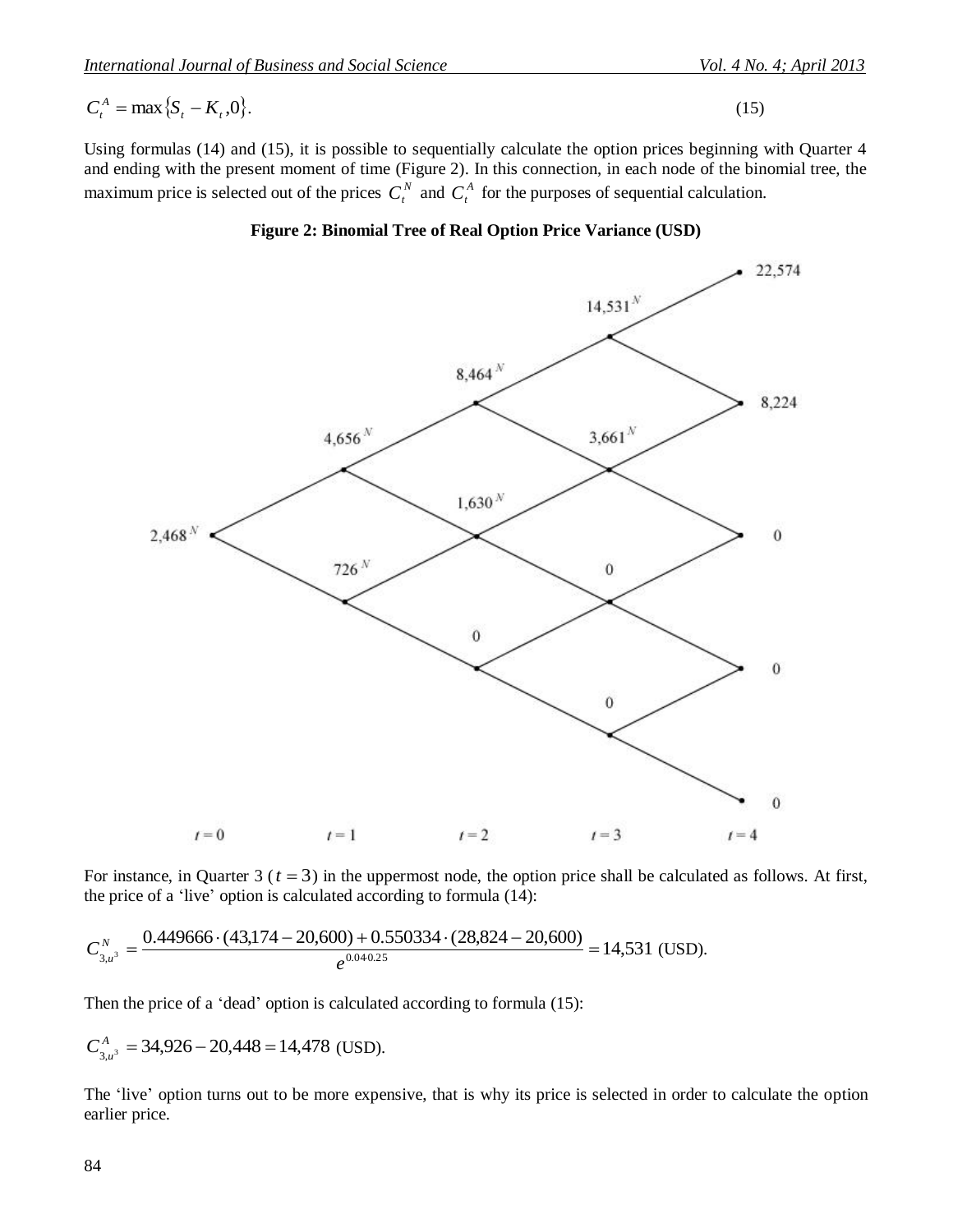$$
C_t^A = \max\{S_t - K_t, 0\}.
$$
 (15)

Using formulas (14) and (15), it is possible to sequentially calculate the option prices beginning with Quarter 4 and ending with the present moment of time (Figure 2). In this connection, in each node of the binomial tree, the maximum price is selected out of the prices  $C_t^N$  and  $C_t^A$  for the purposes of sequential calculation.



**Figure 2: Binomial Tree of Real Option Price Variance (USD)**

For instance, in Quarter  $3$  ( $t = 3$ ) in the uppermost node, the option price shall be calculated as follows. At first, the price of a 'live' option is calculated according to formula (14):

$$
C_{3,u^3}^N = \frac{0.449666 \cdot (43,174 - 20,600) + 0.550334 \cdot (28,824 - 20,600)}{e^{0.040.25}} = 14,531
$$
 (USD).

Then the price of a 'dead' option is calculated according to formula (15):

$$
C_{3,u^3}^A = 34,926 - 20,448 = 14,478
$$
 (USD).

The 'live' option turns out to be more expensive, that is why its price is selected in order to calculate the option earlier price.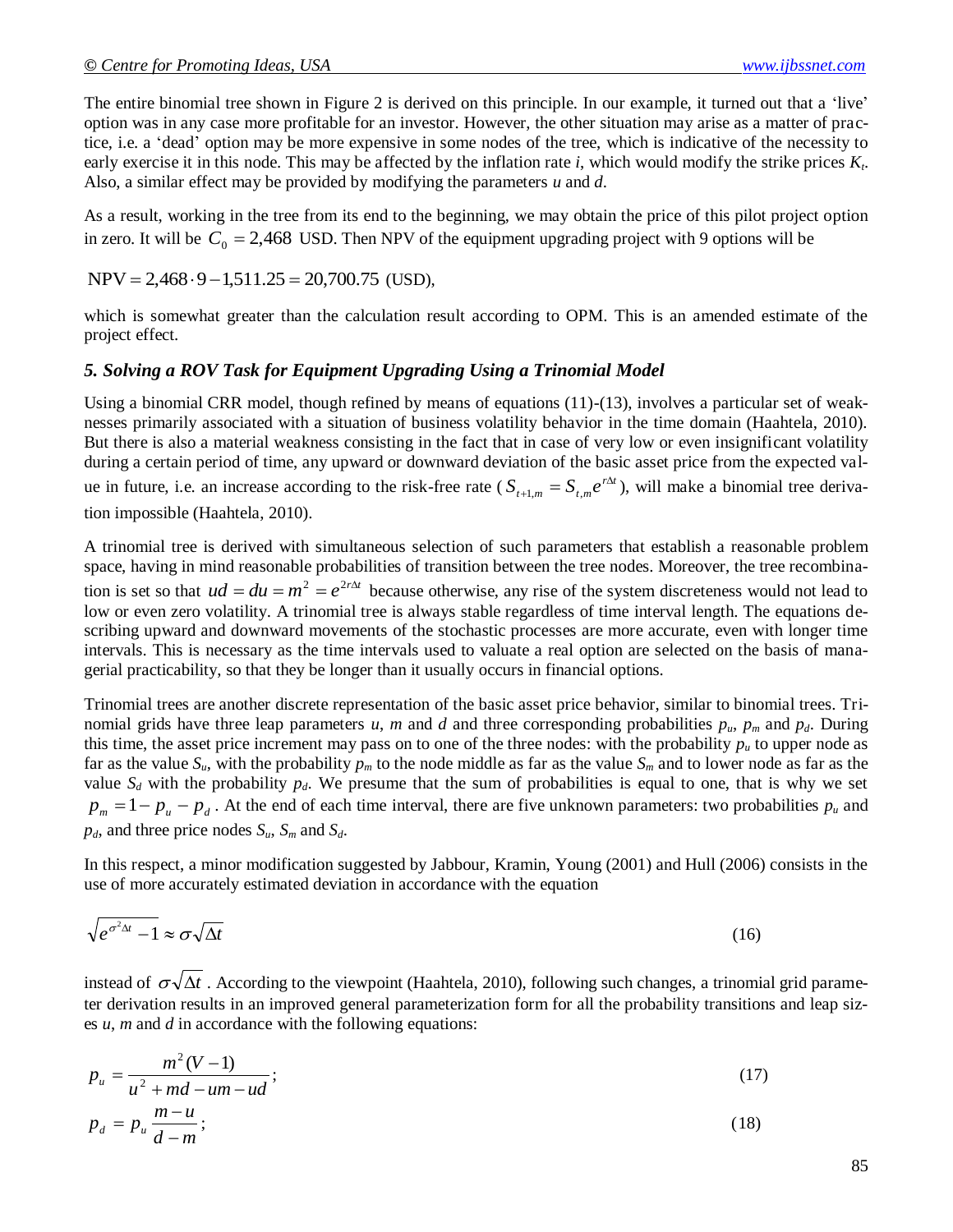The entire binomial tree shown in Figure 2 is derived on this principle. In our example, it turned out that a 'live' option was in any case more profitable for an investor. However, the other situation may arise as a matter of practice, i.e. a 'dead' option may be more expensive in some nodes of the tree, which is indicative of the necessity to early exercise it in this node. This may be affected by the inflation rate *i*, which would modify the strike prices *K<sup>t</sup>* . Also, a similar effect may be provided by modifying the parameters *u* and *d*.

As a result, working in the tree from its end to the beginning, we may obtain the price of this pilot project option in zero. It will be  $C_0 = 2,468$  USD. Then NPV of the equipment upgrading project with 9 options will be

 $NPV = 2,468.9 - 1,511.25 = 20,700.75$  (USD),

which is somewhat greater than the calculation result according to OPM. This is an amended estimate of the project effect.

### *5. Solving a ROV Task for Equipment Upgrading Using a Trinomial Model*

Using a binomial CRR model, though refined by means of equations (11)-(13), involves a particular set of weaknesses primarily associated with a situation of business volatility behavior in the time domain (Haahtela, 2010). But there is also a material weakness consisting in the fact that in case of very low or even insignificant volatility during a certain period of time, any upward or downward deviation of the basic asset price from the expected value in future, i.e. an increase according to the risk-free rate ( $S_{t+1,m} = S_{t,m}e^{r\Delta t}$  $\sum_{n=1,m} S_{t,m} e^{r\Delta t}$ , will make a binomial tree derivation impossible (Haahtela, 2010).

A trinomial tree is derived with simultaneous selection of such parameters that establish a reasonable problem space, having in mind reasonable probabilities of transition between the tree nodes. Moreover, the tree recombination is set so that  $ud = du = m^2 = e^{2r\Delta t}$  because otherwise, any rise of the system discreteness would not lead to low or even zero volatility. A trinomial tree is always stable regardless of time interval length. The equations describing upward and downward movements of the stochastic processes are more accurate, even with longer time intervals. This is necessary as the time intervals used to valuate a real option are selected on the basis of managerial practicability, so that they be longer than it usually occurs in financial options.

Trinomial trees are another discrete representation of the basic asset price behavior, similar to binomial trees. Trinomial grids have three leap parameters *u*, *m* and *d* and three corresponding probabilities  $p_u$ ,  $p_m$  and  $p_d$ . During this time, the asset price increment may pass on to one of the three nodes: with the probability  $p<sub>u</sub>$  to upper node as far as the value  $S_u$ , with the probability  $p_m$  to the node middle as far as the value  $S_m$  and to lower node as far as the value  $S_d$  with the probability  $p_d$ . We presume that the sum of probabilities is equal to one, that is why we set  $p_m = 1 - p_u - p_d$ . At the end of each time interval, there are five unknown parameters: two probabilities  $p_u$  and  $p_d$ , and three price nodes  $S_u$ ,  $S_m$  and  $S_d$ .

In this respect, a minor modification suggested by Jabbour, Kramin, Young (2001) and Hull (2006) consists in the use of more accurately estimated deviation in accordance with the equation

$$
\sqrt{e^{\sigma^2 \Delta t} - 1} \approx \sigma \sqrt{\Delta t} \tag{16}
$$

instead of  $\sigma\sqrt{\Delta t}$  . According to the viewpoint (Haahtela, 2010), following such changes, a trinomial grid parameter derivation results in an improved general parameterization form for all the probability transitions and leap sizes *u*, *m* and *d* in accordance with the following equations:

$$
p_u = \frac{m^2(V-1)}{u^2 + md - um - ud};
$$
\n(17)

$$
p_d = p_u \frac{m - u}{d - m};\tag{18}
$$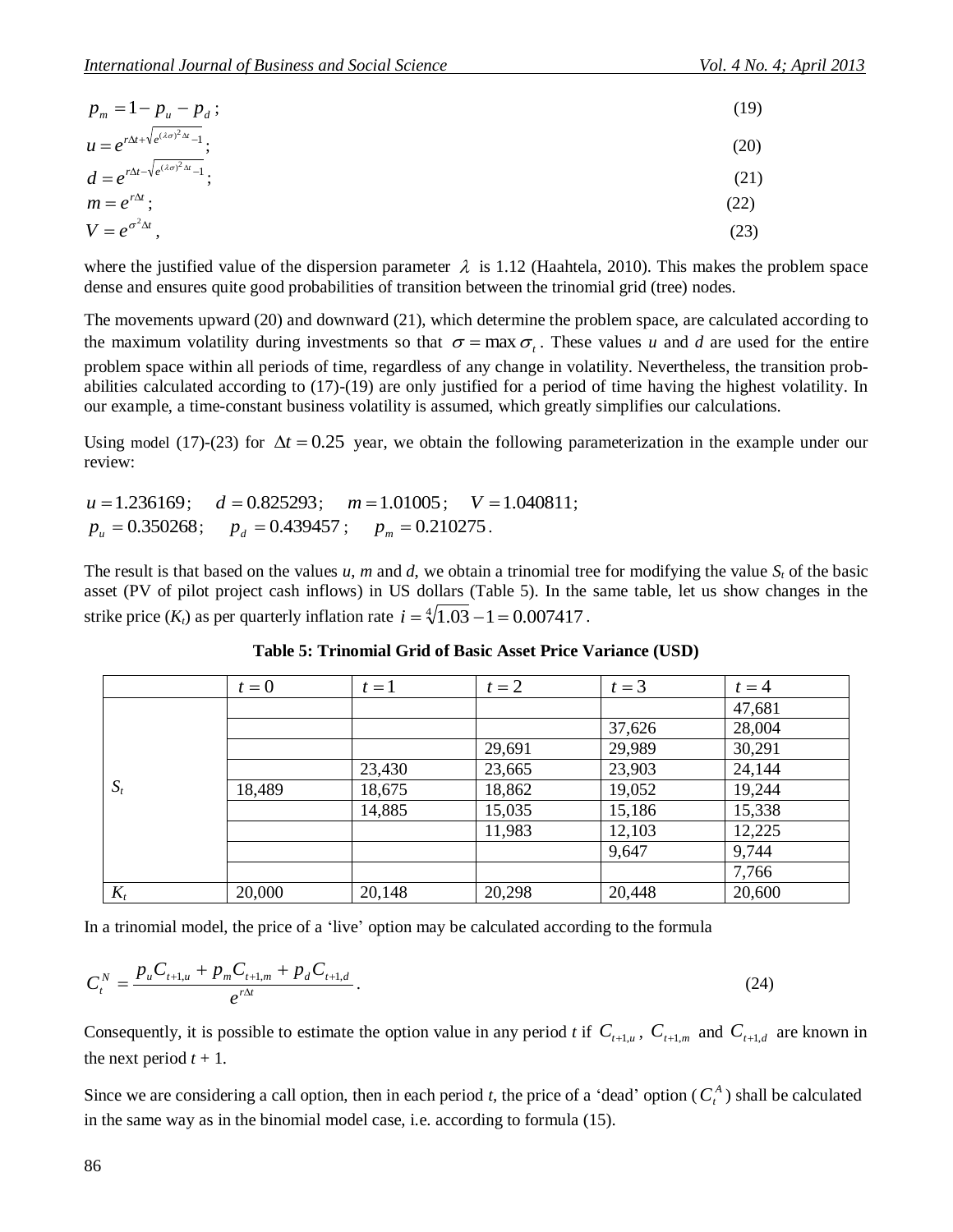|                                                                                                                                                               | $p_m = 1 - p_u - p_d$ ;                                                                                                                                                                                                                                                                                                                                                                                                                                                                                                                        |        |        |                                                                    | (19)           |
|---------------------------------------------------------------------------------------------------------------------------------------------------------------|------------------------------------------------------------------------------------------------------------------------------------------------------------------------------------------------------------------------------------------------------------------------------------------------------------------------------------------------------------------------------------------------------------------------------------------------------------------------------------------------------------------------------------------------|--------|--------|--------------------------------------------------------------------|----------------|
| $u = e^{r\Delta t + \sqrt{e^{(\lambda\sigma)^2\Delta t} - 1}}$ ;<br>$d = e^{r\Delta t - \sqrt{e^{(\lambda\sigma)^2\Delta t} - 1}}$ ;<br>$m = e^{r\Delta t}$ ; |                                                                                                                                                                                                                                                                                                                                                                                                                                                                                                                                                |        |        |                                                                    | (20)           |
|                                                                                                                                                               |                                                                                                                                                                                                                                                                                                                                                                                                                                                                                                                                                |        |        |                                                                    | (21)           |
|                                                                                                                                                               |                                                                                                                                                                                                                                                                                                                                                                                                                                                                                                                                                |        |        |                                                                    |                |
|                                                                                                                                                               |                                                                                                                                                                                                                                                                                                                                                                                                                                                                                                                                                |        |        |                                                                    | (22)           |
| $V = e^{\sigma^2 \Delta t}$ ,                                                                                                                                 |                                                                                                                                                                                                                                                                                                                                                                                                                                                                                                                                                |        |        |                                                                    | (23)           |
|                                                                                                                                                               | where the justified value of the dispersion parameter $\lambda$ is 1.12 (Haahtela, 2010). This makes the<br>dense and ensures quite good probabilities of transition between the trinomial grid (tree) nodes.                                                                                                                                                                                                                                                                                                                                  |        |        |                                                                    |                |
|                                                                                                                                                               | The movements upward $(20)$ and downward $(21)$ , which determine the problem space, are calculate<br>the maximum volatility during investments so that $\sigma = \max \sigma_t$ . These values u and d are used<br>problem space within all periods of time, regardless of any change in volatility. Nevertheless, the ti<br>abilities calculated according to $(17)-(19)$ are only justified for a period of time having the highes<br>our example, a time-constant business volatility is assumed, which greatly simplifies our calculation |        |        |                                                                    |                |
| review:                                                                                                                                                       | Using model (17)-(23) for $\Delta t = 0.25$ year, we obtain the following parameterization in the exam                                                                                                                                                                                                                                                                                                                                                                                                                                         |        |        |                                                                    |                |
|                                                                                                                                                               | $u = 1.236169$ ; $d = 0.825293$ ; $m = 1.01005$ ; $V = 1.040811$ ;<br>$p_u = 0.350268;$ $p_d = 0.439457;$ $p_m = 0.210275.$<br>The result is that based on the values $u$ , m and $d$ , we obtain a trinomial tree for modifying the value<br>asset (PV of pilot project cash inflows) in US dollars (Table 5). In the same table, let us show of<br>strike price $(K_t)$ as per quarterly inflation rate $i = \sqrt[4]{1.03} - 1 = 0.007417$ .                                                                                                |        |        |                                                                    |                |
|                                                                                                                                                               |                                                                                                                                                                                                                                                                                                                                                                                                                                                                                                                                                |        |        | <b>Table 5: Trinomial Grid of Basic Asset Price Variance (USD)</b> |                |
|                                                                                                                                                               |                                                                                                                                                                                                                                                                                                                                                                                                                                                                                                                                                |        |        |                                                                    |                |
|                                                                                                                                                               |                                                                                                                                                                                                                                                                                                                                                                                                                                                                                                                                                |        |        |                                                                    |                |
|                                                                                                                                                               | $t=0$                                                                                                                                                                                                                                                                                                                                                                                                                                                                                                                                          | $t=1$  | $t=2$  | $t=3$                                                              | $t = 4$        |
|                                                                                                                                                               |                                                                                                                                                                                                                                                                                                                                                                                                                                                                                                                                                |        |        | 37,626                                                             | 47,68<br>28,00 |
|                                                                                                                                                               |                                                                                                                                                                                                                                                                                                                                                                                                                                                                                                                                                |        | 29,691 | 29,989                                                             | 30,29          |
|                                                                                                                                                               |                                                                                                                                                                                                                                                                                                                                                                                                                                                                                                                                                | 23,430 | 23,665 | 23,903                                                             | 24,14          |
| $S_t$                                                                                                                                                         | 18,489                                                                                                                                                                                                                                                                                                                                                                                                                                                                                                                                         | 18,675 | 18,862 | 19,052                                                             | 19,24          |
|                                                                                                                                                               |                                                                                                                                                                                                                                                                                                                                                                                                                                                                                                                                                | 14,885 | 15,035 | 15,186                                                             | 15,33          |
|                                                                                                                                                               |                                                                                                                                                                                                                                                                                                                                                                                                                                                                                                                                                |        | 11,983 | 12,103                                                             | 12,22          |
|                                                                                                                                                               |                                                                                                                                                                                                                                                                                                                                                                                                                                                                                                                                                |        |        | 9,647                                                              | 9,744          |
|                                                                                                                                                               |                                                                                                                                                                                                                                                                                                                                                                                                                                                                                                                                                |        |        |                                                                    | 7,766          |
| $K_t$                                                                                                                                                         | 20,000                                                                                                                                                                                                                                                                                                                                                                                                                                                                                                                                         | 20,148 | 20,298 | 20,448                                                             | 20,60          |
|                                                                                                                                                               | In a trinomial model, the price of a 'live' option may be calculated according to the formula                                                                                                                                                                                                                                                                                                                                                                                                                                                  |        |        |                                                                    |                |
|                                                                                                                                                               | $C_t^N = \frac{p_u C_{t+1,u} + p_m C_{t+1,m} + p_d C_{t+1,d}}{e^{r\Delta t}}.$                                                                                                                                                                                                                                                                                                                                                                                                                                                                 |        |        |                                                                    | (24)           |
| the next period $t + 1$ .                                                                                                                                     | Consequently, it is possible to estimate the option value in any period t if $C_{t+1,u}$ , $C_{t+1,m}$ and $C_{t+1,d}$                                                                                                                                                                                                                                                                                                                                                                                                                         |        |        |                                                                    |                |
|                                                                                                                                                               | Since we are considering a call option, then in each period t, the price of a 'dead' option ( $C_t^A$ ) shall<br>in the same way as in the binomial model case, i.e. according to formula (15).                                                                                                                                                                                                                                                                                                                                                |        |        |                                                                    |                |

where the justified value of the dispersion parameter  $\lambda$  is 1.12 (Haahtela, 2010). This makes the problem space dense and ensures quite good probabilities of transition between the trinomial grid (tree) nodes.

The movements upward (20) and downward (21), which determine the problem space, are calculated according to the maximum volatility during investments so that  $\sigma = \max \sigma_t$ . These values *u* and *d* are used for the entire problem space within all periods of time, regardless of any change in volatility. Nevertheless, the transition probabilities calculated according to (17)-(19) are only justified for a period of time having the highest volatility. In our example, a time-constant business volatility is assumed, which greatly simplifies our calculations.

Using model (17)-(23) for  $\Delta t = 0.25$  year, we obtain the following parameterization in the example under our review:

The result is that based on the values  $u$ ,  $m$  and  $d$ , we obtain a trinomial tree for modifying the value  $S_t$  of the basic asset (PV of pilot project cash inflows) in US dollars (Table 5). In the same table, let us show changes in the strike price  $(K_t)$  as per quarterly inflation rate  $i = \sqrt[4]{1.03} - 1 = 0.007417$ .

|       | $t=0$  | $t=1$  | $t=2$  | $t=3$  | $t=4$  |
|-------|--------|--------|--------|--------|--------|
|       |        |        |        |        | 47,681 |
|       |        |        |        | 37,626 | 28,004 |
|       |        |        | 29,691 | 29,989 | 30,291 |
|       |        | 23,430 | 23,665 | 23,903 | 24,144 |
| $S_t$ | 18,489 | 18,675 | 18,862 | 19,052 | 19,244 |
|       |        | 14,885 | 15,035 | 15,186 | 15,338 |
|       |        |        | 11,983 | 12,103 | 12,225 |
|       |        |        |        | 9,647  | 9,744  |
|       |        |        |        |        | 7,766  |
| $K_t$ | 20,000 | 20,148 | 20,298 | 20,448 | 20,600 |

**Table 5: Trinomial Grid of Basic Asset Price Variance (USD)**

$$
C_t^N = \frac{p_u C_{t+1,u} + p_m C_{t+1,m} + p_d C_{t+1,d}}{e^{r\Delta t}}.
$$
\n(24)

Consequently, it is possible to estimate the option value in any period *t* if  $C_{t+1,u}$ ,  $C_{t+1,m}$  and  $C_{t+1,d}$  are known in the next period  $t + 1$ .

Since we are considering a call option, then in each period *t*, the price of a 'dead' option ( $C_t^A$ ) shall be calculated in the same way as in the binomial model case, i.e. according to formula (15).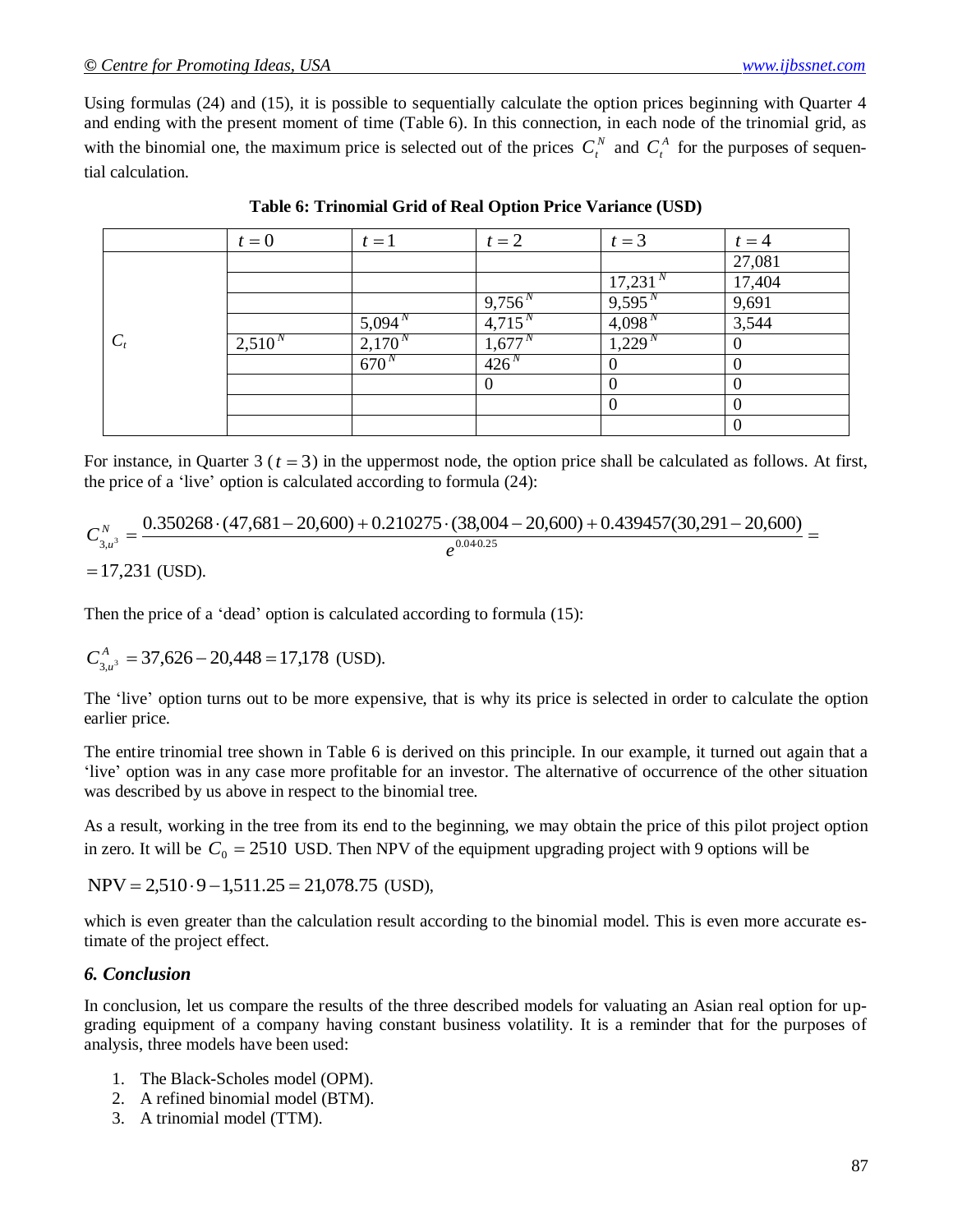Using formulas (24) and (15), it is possible to sequentially calculate the option prices beginning with Quarter 4 and ending with the present moment of time (Table 6). In this connection, in each node of the trinomial grid, as with the binomial one, the maximum price is selected out of the prices  $C_t^N$  and  $C_t^A$  for the purposes of sequential calculation.

|       | $t=0$       | $t=1$              | $t=2$              | $t=3$               | $t=4$       |
|-------|-------------|--------------------|--------------------|---------------------|-------------|
|       |             |                    |                    |                     | 27,081      |
|       |             |                    |                    | 17,231 <sup>N</sup> | 17,404      |
|       |             |                    | 9,756 <sup>N</sup> | 9,595 <sup>N</sup>  | 9,691       |
|       |             | 5,094 <sup>N</sup> | $4,715^{N}$        | 4,098 <sup>N</sup>  | 3,544       |
| $C_t$ | $2,510^{N}$ | $2,170^{\circ}$    | 1,677              | 1,229               | U           |
|       |             | 670 <sup>N</sup>   | 426 <sup>N</sup>   |                     |             |
|       |             |                    | 0                  |                     |             |
|       |             |                    |                    | v                   |             |
|       |             |                    |                    |                     | $\mathbf 0$ |

| Table 6: Trinomial Grid of Real Option Price Variance (USD) |  |  |  |  |  |
|-------------------------------------------------------------|--|--|--|--|--|
|-------------------------------------------------------------|--|--|--|--|--|

For instance, in Quarter  $3$  ( $t = 3$ ) in the uppermost node, the option price shall be calculated as follows. At first, the price of a 'live' option is calculated according to formula (24):

$$
C_{3,u^3}^N = \frac{0.350268 \cdot (47,681 - 20,600) + 0.210275 \cdot (38,004 - 20,600) + 0.439457(30,291 - 20,600)}{e^{0.040.25}} =
$$

 $= 17,231$  (USD).

Then the price of a 'dead' option is calculated according to formula (15):

$$
C_{3,u^3}^A = 37,626 - 20,448 = 17,178
$$
 (USD).

The 'live' option turns out to be more expensive, that is why its price is selected in order to calculate the option earlier price.

The entire trinomial tree shown in Table 6 is derived on this principle. In our example, it turned out again that a 'live' option was in any case more profitable for an investor. The alternative of occurrence of the other situation was described by us above in respect to the binomial tree.

As a result, working in the tree from its end to the beginning, we may obtain the price of this pilot project option in zero. It will be  $C_0 = 2510$  USD. Then NPV of the equipment upgrading project with 9 options will be

 $NPV = 2,510 \cdot 9 - 1,511.25 = 21,078.75$  (USD),

which is even greater than the calculation result according to the binomial model. This is even more accurate estimate of the project effect.

### *6. Conclusion*

In conclusion, let us compare the results of the three described models for valuating an Asian real option for upgrading equipment of a company having constant business volatility. It is a reminder that for the purposes of analysis, three models have been used:

- 1. The Black-Scholes model (OPM).
- 2. A refined binomial model (BTM).
- 3. A trinomial model (TTM).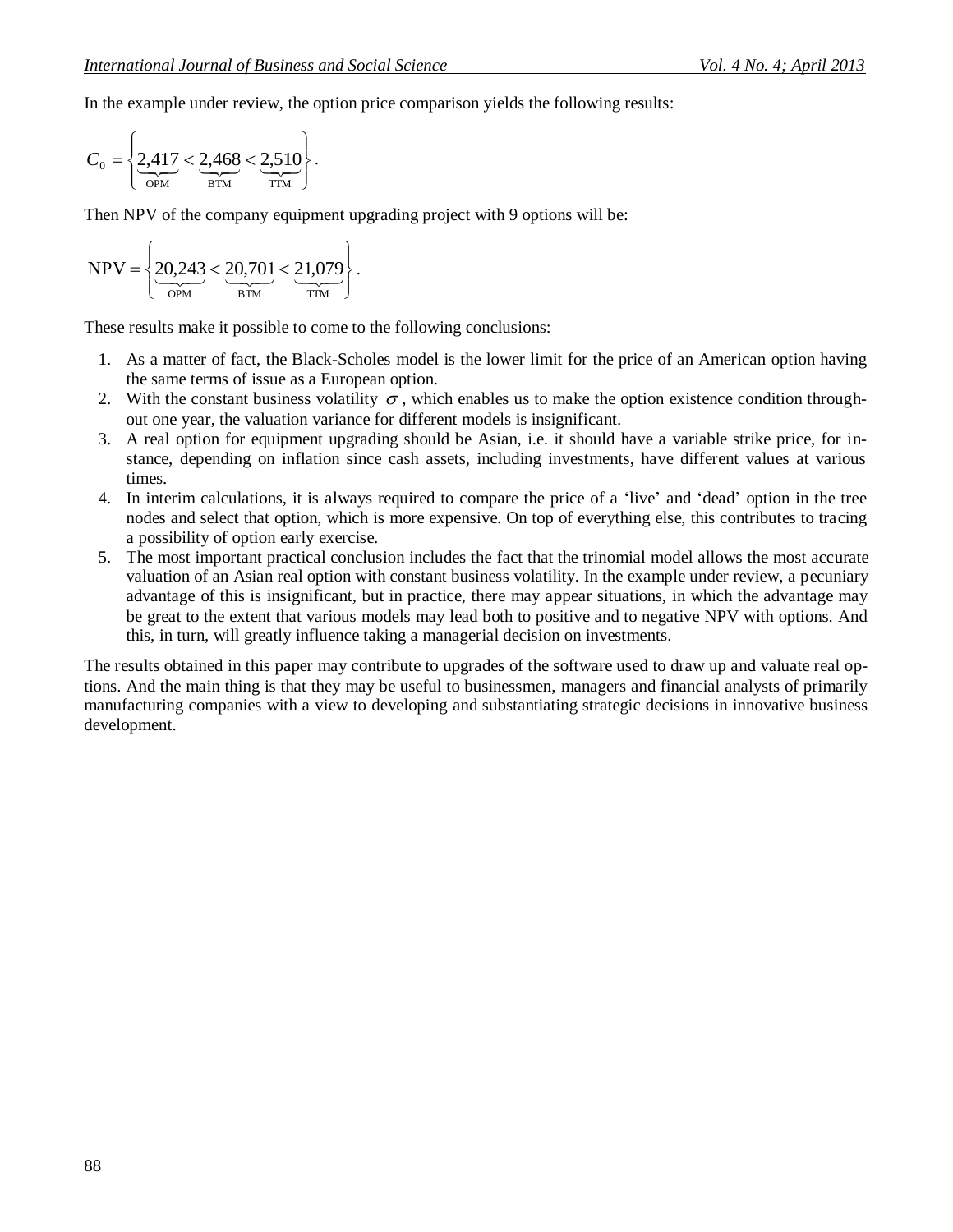In the example under review, the option price comparison yields the following results:

$$
C_0 = \left\{ \underbrace{2.417}_{\text{OPM}} < \underbrace{2.468}_{\text{BTM}} < \underbrace{2.510}_{\text{TTM}} \right\}.
$$

Then NPV of the company equipment upgrading project with 9 options will be:

$$
NPV = \left\{ \underbrace{20,243}_{\text{OPM}} < \underbrace{20,701}_{\text{BTM}} < \underbrace{21,079}_{\text{TTM}} \right\}.
$$

These results make it possible to come to the following conclusions:

- 1. As a matter of fact, the Black-Scholes model is the lower limit for the price of an American option having the same terms of issue as a European option.
- 2. With the constant business volatility  $\sigma$ , which enables us to make the option existence condition throughout one year, the valuation variance for different models is insignificant.
- 3. A real option for equipment upgrading should be Asian, i.e. it should have a variable strike price, for instance, depending on inflation since cash assets, including investments, have different values at various times.
- 4. In interim calculations, it is always required to compare the price of a 'live' and 'dead' option in the tree nodes and select that option, which is more expensive. On top of everything else, this contributes to tracing a possibility of option early exercise.
- 5. The most important practical conclusion includes the fact that the trinomial model allows the most accurate valuation of an Asian real option with constant business volatility. In the example under review, a pecuniary advantage of this is insignificant, but in practice, there may appear situations, in which the advantage may be great to the extent that various models may lead both to positive and to negative NPV with options. And this, in turn, will greatly influence taking a managerial decision on investments.

The results obtained in this paper may contribute to upgrades of the software used to draw up and valuate real options. And the main thing is that they may be useful to businessmen, managers and financial analysts of primarily manufacturing companies with a view to developing and substantiating strategic decisions in innovative business development.